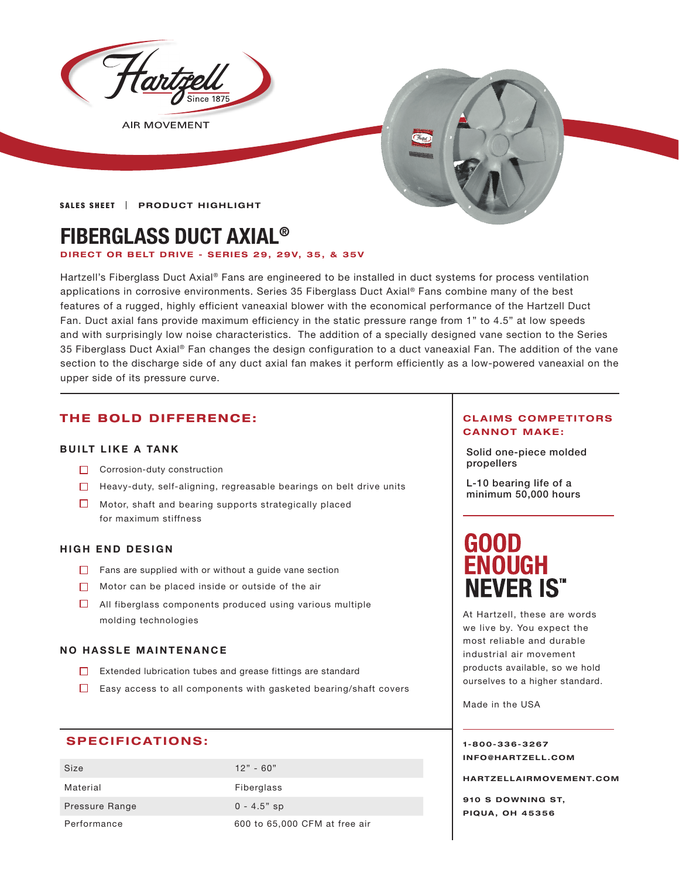

**AIR MOVEMENT** 

## **SALES SHEET | PRODUCT HIGHLIGHT**

# **FIBERGLASS DUCT AXIAL®**

## **DIRECT OR BELT DRIVE - SERIES 29, 29V, 35, & 35V**

Hartzell's Fiberglass Duct Axial® Fans are engineered to be installed in duct systems for process ventilation applications in corrosive environments. Series 35 Fiberglass Duct Axial® Fans combine many of the best features of a rugged, highly efficient vaneaxial blower with the economical performance of the Hartzell Duct Fan. Duct axial fans provide maximum efficiency in the static pressure range from 1" to 4.5" at low speeds and with surprisingly low noise characteristics. The addition of a specially designed vane section to the Series 35 Fiberglass Duct Axial® Fan changes the design configuration to a duct vaneaxial Fan. The addition of the vane section to the discharge side of any duct axial fan makes it perform efficiently as a low-powered vaneaxial on the upper side of its pressure curve.

# **THE BOLD DIFFERENCE:**

## **BUILT LIKE A TANK**

- **propellers** Corrosion-duty construction
- $\Box$  Heavy-duty, self-aligning, regreasable bearings on belt drive units
- $\Box$  Motor, shaft and bearing supports strategically placed for maximum stiffness

## **HIGH END DESIGN**

- $\Box$  Fans are supplied with or without a guide vane section
- $\Box$  Motor can be placed inside or outside of the air
- $\Box$  All fiberglass components produced using various multiple molding technologies

## **NO HASSLE MAINTENANCE**

- Extended lubrication tubes and grease fittings are standard
- $\Box$  Easy access to all components with gasketed bearing/shaft covers

# **SPECIFICATIONS:**

| Size           | $12" - 60"$                   |
|----------------|-------------------------------|
| Material       | Fiberglass                    |
| Pressure Range | $0 - 4.5"$ sp                 |
| Performance    | 600 to 65,000 CFM at free air |

## **CLAIMS COMPETITORS CANNOT MAKE:**

Solid one-piece molded

L-10 bearing life of a minimum 50,000 hours

# (HOIO) D **OUGH NEVER IS<sup>\*\*</sup>**

At Hartzell, these are words we live by. You expect the most reliable and durable industrial air movement products available, so we hold ourselves to a higher standard.

Made in the USA

**1-800-336-3267 I N F O @ H A R T Z E L L . C OM** 

**HARTZELLA IRMOVEMENT.COM**

**910 S DOWNING ST, PIQUA, OH 45356**